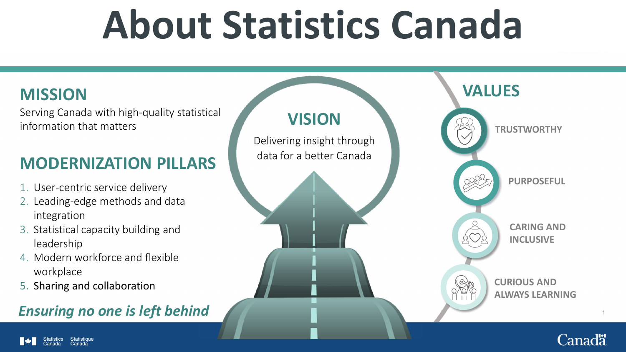# **About Statistics Canada**

Serving Canada with high-quality statistical information that matters

### **MODERNIZATION PILLARS**

- 1. User-centric service delivery
- 2. Leading-edge methods and data integration
- 3. Statistical capacity building and leadership
- 4. Modern workforce and flexible workplace
- 5. Sharing and collaboration

### **Ensuring no one is left behind**

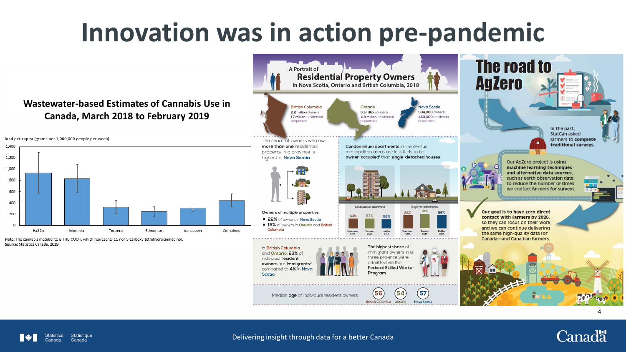## **Innovation was in action pre-pandemic**

#### **Wastewater-based Estimates of Cannabis Use in Canada, March 2018 to February 2019**



Note: The cannabis metabolite is THC-COOH, which represents 11-nor-9-carboxy-tetrahydrocannabinol. Source: Statistics Canada, 2019.

**Statistique** 



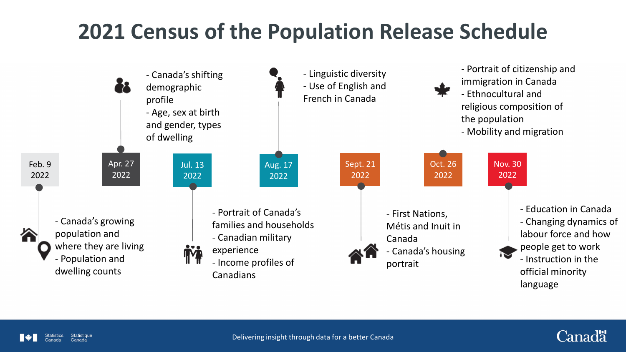## **2021 Census of the Population Release Schedule**





Canadä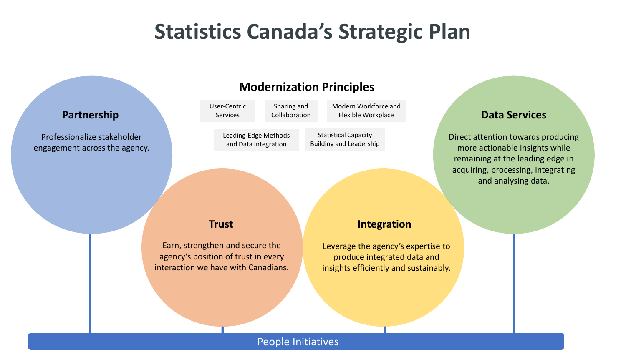### **Statistics Canada's Strategic Plan**

#### **Partnership**

Professionalize stakeholder engagement across the agency.

#### **Modernization Principles**

User-Centric Services Sharing and Collaboration Modern Workforce and Flexible Workplace

Leading-Edge Methods and Data Integration

Statistical Capacity

Building and Leadership

#### **Data Services**

Direct attention towards producing more actionable insights while remaining at the leading edge in acquiring, processing, integrating and analysing data.

**Trust**

Earn, strengthen and secure the agency's position of trust in every interaction we have with Canadians.

#### **Integration**

Leverage the agency's expertise to produce integrated data and insights efficiently and sustainably.

#### People Initiatives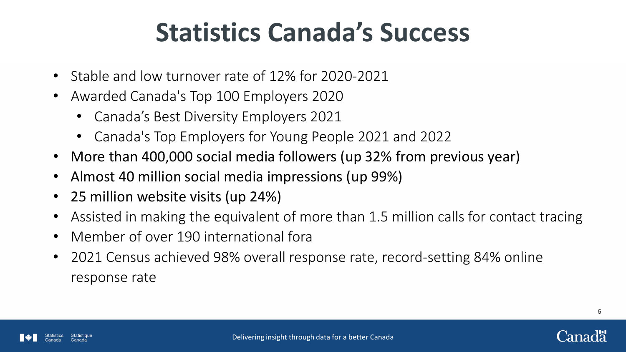## **Statistics Canada's Success**

- Stable and low turnover rate of 12% for 2020-2021
- Awarded Canada's Top 100 Employers 2020
	- Canada's Best Diversity Employers 2021
	- Canada's Top Employers for Young People 2021 and 2022
- More than 400,000 social media followers (up 32% from previous year)
- Almost 40 million social media impressions (up 99%)
- 25 million website visits (up 24%)
- Assisted in making the equivalent of more than 1.5 million calls for contact tracing
- Member of over 190 international fora
- 2021 Census achieved 98% overall response rate, record-setting 84% online response rate